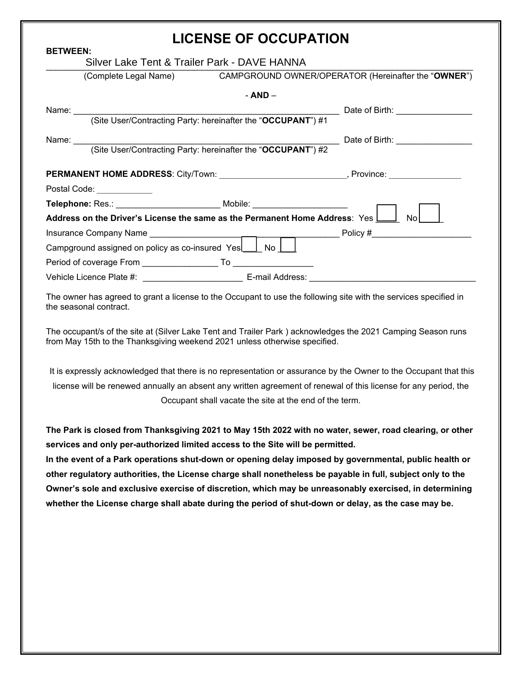## **LICENSE OF OCCUPATION**

| <b>BETWEEN:</b>                                                                                                                                                                           |                                                                             |                                                        |           |  |                                                                                                                                                                                                                                     |  |  |  |
|-------------------------------------------------------------------------------------------------------------------------------------------------------------------------------------------|-----------------------------------------------------------------------------|--------------------------------------------------------|-----------|--|-------------------------------------------------------------------------------------------------------------------------------------------------------------------------------------------------------------------------------------|--|--|--|
| Silver Lake Tent & Trailer Park - DAVE HANNA                                                                                                                                              |                                                                             |                                                        |           |  |                                                                                                                                                                                                                                     |  |  |  |
|                                                                                                                                                                                           | (Complete Legal Name)                                                       |                                                        |           |  | CAMPGROUND OWNER/OPERATOR (Hereinafter the "OWNER")                                                                                                                                                                                 |  |  |  |
|                                                                                                                                                                                           |                                                                             |                                                        | $- AND -$ |  |                                                                                                                                                                                                                                     |  |  |  |
|                                                                                                                                                                                           |                                                                             |                                                        |           |  | ___ Date of Birth: ___________                                                                                                                                                                                                      |  |  |  |
|                                                                                                                                                                                           |                                                                             |                                                        |           |  |                                                                                                                                                                                                                                     |  |  |  |
|                                                                                                                                                                                           |                                                                             |                                                        |           |  | Date of Birth: <b>Example 20</b>                                                                                                                                                                                                    |  |  |  |
|                                                                                                                                                                                           |                                                                             |                                                        |           |  |                                                                                                                                                                                                                                     |  |  |  |
|                                                                                                                                                                                           |                                                                             |                                                        |           |  |                                                                                                                                                                                                                                     |  |  |  |
|                                                                                                                                                                                           | Postal Code: ____________                                                   |                                                        |           |  |                                                                                                                                                                                                                                     |  |  |  |
|                                                                                                                                                                                           | Telephone: Res.: ________________________ Mobile: _________________________ |                                                        |           |  |                                                                                                                                                                                                                                     |  |  |  |
| Address on the Driver's License the same as the Permanent Home Address: Yes Mourth                                                                                                        |                                                                             |                                                        |           |  |                                                                                                                                                                                                                                     |  |  |  |
|                                                                                                                                                                                           |                                                                             |                                                        |           |  |                                                                                                                                                                                                                                     |  |  |  |
| Campground assigned on policy as co-insured Yes   No                                                                                                                                      |                                                                             |                                                        |           |  |                                                                                                                                                                                                                                     |  |  |  |
|                                                                                                                                                                                           |                                                                             |                                                        |           |  |                                                                                                                                                                                                                                     |  |  |  |
| Vehicle Licence Plate #: _________________________________ E-mail Address: ______________________________                                                                                 |                                                                             |                                                        |           |  |                                                                                                                                                                                                                                     |  |  |  |
| The owner has agreed to grant a license to the Occupant to use the following site with the services specified in<br>the seasonal contract.                                                |                                                                             |                                                        |           |  |                                                                                                                                                                                                                                     |  |  |  |
| The occupant/s of the site at (Silver Lake Tent and Trailer Park) acknowledges the 2021 Camping Season runs<br>from May 15th to the Thanksgiving weekend 2021 unless otherwise specified. |                                                                             |                                                        |           |  |                                                                                                                                                                                                                                     |  |  |  |
|                                                                                                                                                                                           |                                                                             | Occupant shall vacate the site at the end of the term. |           |  | It is expressly acknowledged that there is no representation or assurance by the Owner to the Occupant that this<br>license will be renewed annually an absent any written agreement of renewal of this license for any period, the |  |  |  |

**The Park is closed from Thanksgiving 2021 to May 15th 2022 with no water, sewer, road clearing, or other services and only per-authorized limited access to the Site will be permitted.** 

**In the event of a Park operations shut-down or opening delay imposed by governmental, public health or other regulatory authorities, the License charge shall nonetheless be payable in full, subject only to the Owner's sole and exclusive exercise of discretion, which may be unreasonably exercised, in determining whether the License charge shall abate during the period of shut-down or delay, as the case may be.**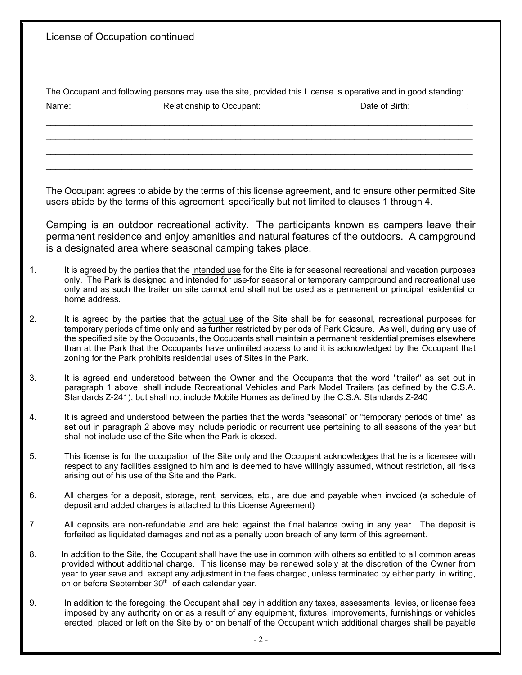|    | License of Occupation continued                                                                                                                                                                                                                                                                                                                                                                                                                                                                                                     |  |  |  |  |  |
|----|-------------------------------------------------------------------------------------------------------------------------------------------------------------------------------------------------------------------------------------------------------------------------------------------------------------------------------------------------------------------------------------------------------------------------------------------------------------------------------------------------------------------------------------|--|--|--|--|--|
|    | The Occupant and following persons may use the site, provided this License is operative and in good standing:<br>Name:<br>Date of Birth:<br>Relationship to Occupant:                                                                                                                                                                                                                                                                                                                                                               |  |  |  |  |  |
|    |                                                                                                                                                                                                                                                                                                                                                                                                                                                                                                                                     |  |  |  |  |  |
|    | The Occupant agrees to abide by the terms of this license agreement, and to ensure other permitted Site<br>users abide by the terms of this agreement, specifically but not limited to clauses 1 through 4.                                                                                                                                                                                                                                                                                                                         |  |  |  |  |  |
|    | Camping is an outdoor recreational activity. The participants known as campers leave their<br>permanent residence and enjoy amenities and natural features of the outdoors. A campground<br>is a designated area where seasonal camping takes place.                                                                                                                                                                                                                                                                                |  |  |  |  |  |
| 1. | It is agreed by the parties that the intended use for the Site is for seasonal recreational and vacation purposes<br>only. The Park is designed and intended for use-for seasonal or temporary campground and recreational use<br>only and as such the trailer on site cannot and shall not be used as a permanent or principal residential or<br>home address.                                                                                                                                                                     |  |  |  |  |  |
| 2. | It is agreed by the parties that the actual use of the Site shall be for seasonal, recreational purposes for<br>temporary periods of time only and as further restricted by periods of Park Closure. As well, during any use of<br>the specified site by the Occupants, the Occupants shall maintain a permanent residential premises elsewhere<br>than at the Park that the Occupants have unlimited access to and it is acknowledged by the Occupant that<br>zoning for the Park prohibits residential uses of Sites in the Park. |  |  |  |  |  |
| 3. | It is agreed and understood between the Owner and the Occupants that the word "trailer" as set out in<br>paragraph 1 above, shall include Recreational Vehicles and Park Model Trailers (as defined by the C.S.A.<br>Standards Z-241), but shall not include Mobile Homes as defined by the C.S.A. Standards Z-240                                                                                                                                                                                                                  |  |  |  |  |  |
| 4. | It is agreed and understood between the parties that the words "seasonal" or "temporary periods of time" as<br>set out in paragraph 2 above may include periodic or recurrent use pertaining to all seasons of the year but<br>shall not include use of the Site when the Park is closed.                                                                                                                                                                                                                                           |  |  |  |  |  |
| 5. | This license is for the occupation of the Site only and the Occupant acknowledges that he is a licensee with<br>respect to any facilities assigned to him and is deemed to have willingly assumed, without restriction, all risks<br>arising out of his use of the Site and the Park.                                                                                                                                                                                                                                               |  |  |  |  |  |
| 6. | All charges for a deposit, storage, rent, services, etc., are due and payable when invoiced (a schedule of<br>deposit and added charges is attached to this License Agreement)                                                                                                                                                                                                                                                                                                                                                      |  |  |  |  |  |
| 7. | All deposits are non-refundable and are held against the final balance owing in any year. The deposit is<br>forfeited as liquidated damages and not as a penalty upon breach of any term of this agreement.                                                                                                                                                                                                                                                                                                                         |  |  |  |  |  |
| 8. | In addition to the Site, the Occupant shall have the use in common with others so entitled to all common areas<br>provided without additional charge. This license may be renewed solely at the discretion of the Owner from<br>year to year save and except any adjustment in the fees charged, unless terminated by either party, in writing,<br>on or before September 30 <sup>th</sup> of each calendar year.                                                                                                                   |  |  |  |  |  |
| 9. | In addition to the foregoing, the Occupant shall pay in addition any taxes, assessments, levies, or license fees<br>imposed by any authority on or as a result of any equipment, fixtures, improvements, furnishings or vehicles<br>erected, placed or left on the Site by or on behalf of the Occupant which additional charges shall be payable                                                                                                                                                                                   |  |  |  |  |  |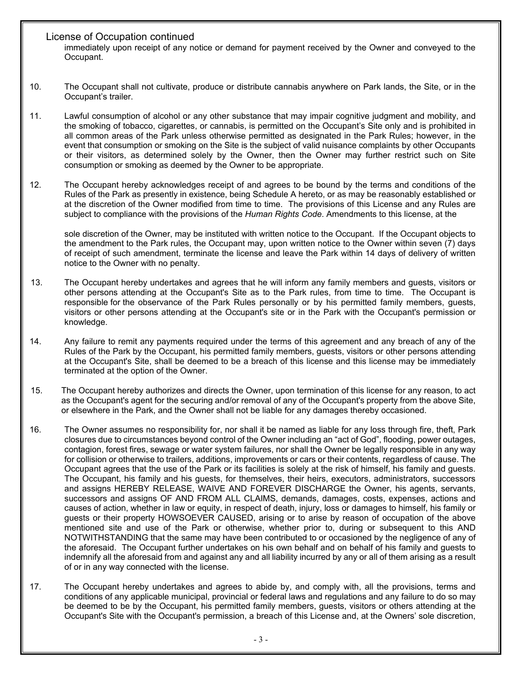## License of Occupation continued

immediately upon receipt of any notice or demand for payment received by the Owner and conveyed to the Occupant.

- 10. The Occupant shall not cultivate, produce or distribute cannabis anywhere on Park lands, the Site, or in the Occupant's trailer.
- 11. Lawful consumption of alcohol or any other substance that may impair cognitive judgment and mobility, and the smoking of tobacco, cigarettes, or cannabis, is permitted on the Occupant's Site only and is prohibited in all common areas of the Park unless otherwise permitted as designated in the Park Rules; however, in the event that consumption or smoking on the Site is the subject of valid nuisance complaints by other Occupants or their visitors, as determined solely by the Owner, then the Owner may further restrict such on Site consumption or smoking as deemed by the Owner to be appropriate.
- 12. The Occupant hereby acknowledges receipt of and agrees to be bound by the terms and conditions of the Rules of the Park as presently in existence, being Schedule A hereto, or as may be reasonably established or at the discretion of the Owner modified from time to time. The provisions of this License and any Rules are subject to compliance with the provisions of the *Human Rights Code*. Amendments to this license, at the

sole discretion of the Owner, may be instituted with written notice to the Occupant. If the Occupant objects to the amendment to the Park rules, the Occupant may, upon written notice to the Owner within seven (7) days of receipt of such amendment, terminate the license and leave the Park within 14 days of delivery of written notice to the Owner with no penalty.

- 13. The Occupant hereby undertakes and agrees that he will inform any family members and guests, visitors or other persons attending at the Occupant's Site as to the Park rules, from time to time. The Occupant is responsible for the observance of the Park Rules personally or by his permitted family members, guests, visitors or other persons attending at the Occupant's site or in the Park with the Occupant's permission or knowledge.
- 14. Any failure to remit any payments required under the terms of this agreement and any breach of any of the Rules of the Park by the Occupant, his permitted family members, guests, visitors or other persons attending at the Occupant's Site, shall be deemed to be a breach of this license and this license may be immediately terminated at the option of the Owner.
- 15. The Occupant hereby authorizes and directs the Owner, upon termination of this license for any reason, to act as the Occupant's agent for the securing and/or removal of any of the Occupant's property from the above Site, or elsewhere in the Park, and the Owner shall not be liable for any damages thereby occasioned.
- 16. The Owner assumes no responsibility for, nor shall it be named as liable for any loss through fire, theft, Park closures due to circumstances beyond control of the Owner including an "act of God", flooding, power outages, contagion, forest fires, sewage or water system failures, nor shall the Owner be legally responsible in any way for collision or otherwise to trailers, additions, improvements or cars or their contents, regardless of cause. The Occupant agrees that the use of the Park or its facilities is solely at the risk of himself, his family and guests. The Occupant, his family and his guests, for themselves, their heirs, executors, administrators, successors and assigns HEREBY RELEASE, WAIVE AND FOREVER DISCHARGE the Owner, his agents, servants, successors and assigns OF AND FROM ALL CLAIMS, demands, damages, costs, expenses, actions and causes of action, whether in law or equity, in respect of death, injury, loss or damages to himself, his family or guests or their property HOWSOEVER CAUSED, arising or to arise by reason of occupation of the above mentioned site and use of the Park or otherwise, whether prior to, during or subsequent to this AND NOTWITHSTANDING that the same may have been contributed to or occasioned by the negligence of any of the aforesaid. The Occupant further undertakes on his own behalf and on behalf of his family and guests to indemnify all the aforesaid from and against any and all liability incurred by any or all of them arising as a result of or in any way connected with the license.
- 17. The Occupant hereby undertakes and agrees to abide by, and comply with, all the provisions, terms and conditions of any applicable municipal, provincial or federal laws and regulations and any failure to do so may be deemed to be by the Occupant, his permitted family members, guests, visitors or others attending at the Occupant's Site with the Occupant's permission, a breach of this License and, at the Owners' sole discretion,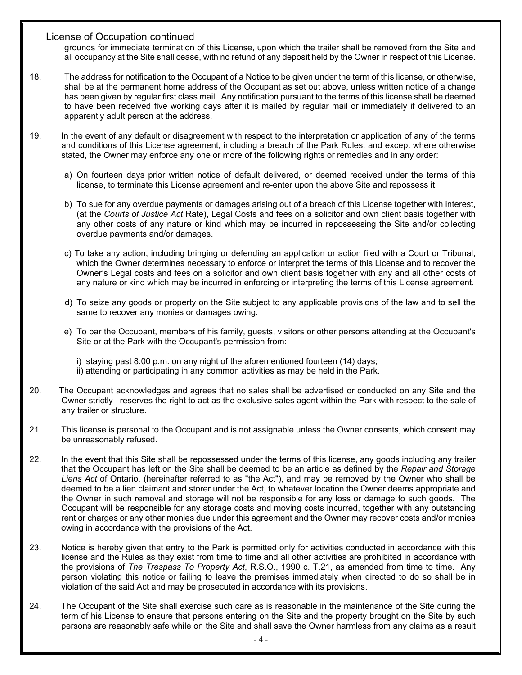## License of Occupation continued

grounds for immediate termination of this License, upon which the trailer shall be removed from the Site and all occupancy at the Site shall cease, with no refund of any deposit held by the Owner in respect of this License.

- 18. The address for notification to the Occupant of a Notice to be given under the term of this license, or otherwise, shall be at the permanent home address of the Occupant as set out above, unless written notice of a change has been given by regular first class mail. Any notification pursuant to the terms of this license shall be deemed to have been received five working days after it is mailed by regular mail or immediately if delivered to an apparently adult person at the address.
- 19. In the event of any default or disagreement with respect to the interpretation or application of any of the terms and conditions of this License agreement, including a breach of the Park Rules, and except where otherwise stated, the Owner may enforce any one or more of the following rights or remedies and in any order:
	- a) On fourteen days prior written notice of default delivered, or deemed received under the terms of this license, to terminate this License agreement and re-enter upon the above Site and repossess it.
	- b) To sue for any overdue payments or damages arising out of a breach of this License together with interest, (at the *Courts of Justice Act* Rate), Legal Costs and fees on a solicitor and own client basis together with any other costs of any nature or kind which may be incurred in repossessing the Site and/or collecting overdue payments and/or damages.
	- c) To take any action, including bringing or defending an application or action filed with a Court or Tribunal, which the Owner determines necessary to enforce or interpret the terms of this License and to recover the Owner's Legal costs and fees on a solicitor and own client basis together with any and all other costs of any nature or kind which may be incurred in enforcing or interpreting the terms of this License agreement.
	- d) To seize any goods or property on the Site subject to any applicable provisions of the law and to sell the same to recover any monies or damages owing.
	- e) To bar the Occupant, members of his family, guests, visitors or other persons attending at the Occupant's Site or at the Park with the Occupant's permission from:
		- i) staying past 8:00 p.m. on any night of the aforementioned fourteen (14) days; ii) attending or participating in any common activities as may be held in the Park.
- 20. The Occupant acknowledges and agrees that no sales shall be advertised or conducted on any Site and the Owner strictly reserves the right to act as the exclusive sales agent within the Park with respect to the sale of any trailer or structure.
- 21. This license is personal to the Occupant and is not assignable unless the Owner consents, which consent may be unreasonably refused.
- 22. In the event that this Site shall be repossessed under the terms of this license, any goods including any trailer that the Occupant has left on the Site shall be deemed to be an article as defined by the *Repair and Storage Liens Act* of Ontario, (hereinafter referred to as "the Act"), and may be removed by the Owner who shall be deemed to be a lien claimant and storer under the Act, to whatever location the Owner deems appropriate and the Owner in such removal and storage will not be responsible for any loss or damage to such goods. The Occupant will be responsible for any storage costs and moving costs incurred, together with any outstanding rent or charges or any other monies due under this agreement and the Owner may recover costs and/or monies owing in accordance with the provisions of the Act.
- 23. Notice is hereby given that entry to the Park is permitted only for activities conducted in accordance with this license and the Rules as they exist from time to time and all other activities are prohibited in accordance with the provisions of *The Trespass To Property Act*, R.S.O., 1990 c. T.21, as amended from time to time. Any person violating this notice or failing to leave the premises immediately when directed to do so shall be in violation of the said Act and may be prosecuted in accordance with its provisions.
- 24. The Occupant of the Site shall exercise such care as is reasonable in the maintenance of the Site during the term of his License to ensure that persons entering on the Site and the property brought on the Site by such persons are reasonably safe while on the Site and shall save the Owner harmless from any claims as a result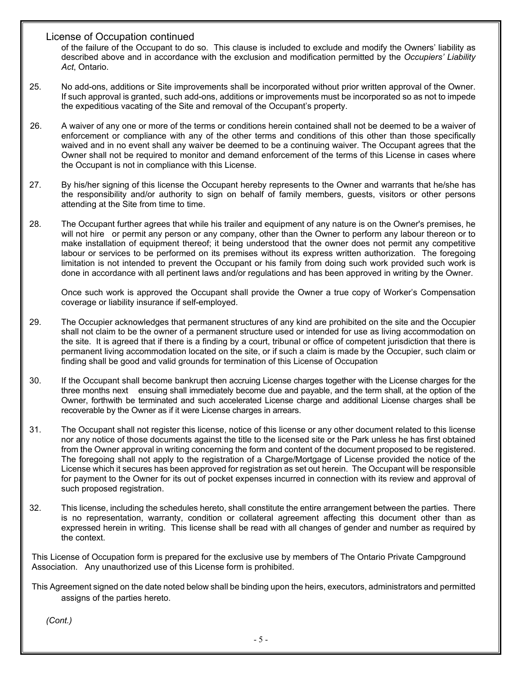## License of Occupation continued

of the failure of the Occupant to do so. This clause is included to exclude and modify the Owners' liability as described above and in accordance with the exclusion and modification permitted by the *Occupiers' Liability Act*, Ontario.

- 25. No add-ons, additions or Site improvements shall be incorporated without prior written approval of the Owner. If such approval is granted, such add-ons, additions or improvements must be incorporated so as not to impede the expeditious vacating of the Site and removal of the Occupant's property.
- 26. A waiver of any one or more of the terms or conditions herein contained shall not be deemed to be a waiver of enforcement or compliance with any of the other terms and conditions of this other than those specifically waived and in no event shall any waiver be deemed to be a continuing waiver. The Occupant agrees that the Owner shall not be required to monitor and demand enforcement of the terms of this License in cases where the Occupant is not in compliance with this License.
- 27. By his/her signing of this license the Occupant hereby represents to the Owner and warrants that he/she has the responsibility and/or authority to sign on behalf of family members, guests, visitors or other persons attending at the Site from time to time.
- 28. The Occupant further agrees that while his trailer and equipment of any nature is on the Owner's premises, he will not hire or permit any person or any company, other than the Owner to perform any labour thereon or to make installation of equipment thereof; it being understood that the owner does not permit any competitive labour or services to be performed on its premises without its express written authorization. The foregoing limitation is not intended to prevent the Occupant or his family from doing such work provided such work is done in accordance with all pertinent laws and/or regulations and has been approved in writing by the Owner.

Once such work is approved the Occupant shall provide the Owner a true copy of Worker's Compensation coverage or liability insurance if self-employed.

- 29. The Occupier acknowledges that permanent structures of any kind are prohibited on the site and the Occupier shall not claim to be the owner of a permanent structure used or intended for use as living accommodation on the site. It is agreed that if there is a finding by a court, tribunal or office of competent jurisdiction that there is permanent living accommodation located on the site, or if such a claim is made by the Occupier, such claim or finding shall be good and valid grounds for termination of this License of Occupation
- 30. If the Occupant shall become bankrupt then accruing License charges together with the License charges for the three months next ensuing shall immediately become due and payable, and the term shall, at the option of the Owner, forthwith be terminated and such accelerated License charge and additional License charges shall be recoverable by the Owner as if it were License charges in arrears.
- 31. The Occupant shall not register this license, notice of this license or any other document related to this license nor any notice of those documents against the title to the licensed site or the Park unless he has first obtained from the Owner approval in writing concerning the form and content of the document proposed to be registered. The foregoing shall not apply to the registration of a Charge/Mortgage of License provided the notice of the License which it secures has been approved for registration as set out herein. The Occupant will be responsible for payment to the Owner for its out of pocket expenses incurred in connection with its review and approval of such proposed registration.
- 32. This license, including the schedules hereto, shall constitute the entire arrangement between the parties. There is no representation, warranty, condition or collateral agreement affecting this document other than as expressed herein in writing. This license shall be read with all changes of gender and number as required by the context.

This License of Occupation form is prepared for the exclusive use by members of The Ontario Private Campground Association. Any unauthorized use of this License form is prohibited.

This Agreement signed on the date noted below shall be binding upon the heirs, executors, administrators and permitted assigns of the parties hereto.

*(Cont.)*